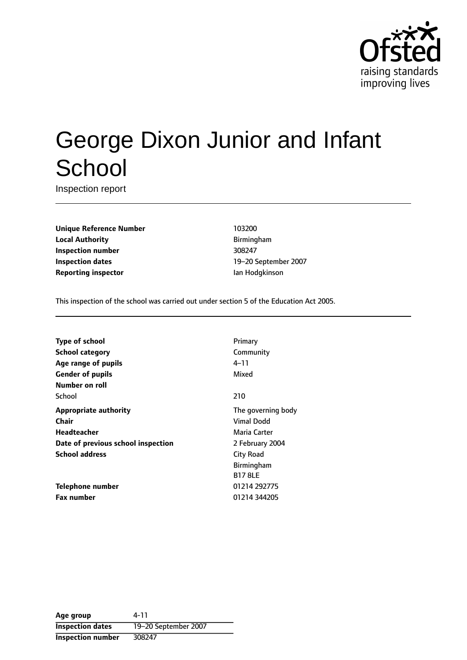

# George Dixon Junior and Infant **School**

Inspection report

**Unique Reference Number** 103200 **Local Authority Birmingham Inspection number** 308247 **Inspection dates** 19-20 September 2007 **Reporting inspector Ian Hodgkinson** 

This inspection of the school was carried out under section 5 of the Education Act 2005.

| <b>Type of school</b>              | Primary            |
|------------------------------------|--------------------|
| <b>School category</b>             | Community          |
| Age range of pupils                | $4 - 11$           |
| <b>Gender of pupils</b>            | Mixed              |
| Number on roll                     |                    |
| School                             | 210                |
| <b>Appropriate authority</b>       | The governing body |
| Chair                              | Vimal Dodd         |
| <b>Headteacher</b>                 | Maria Carter       |
| Date of previous school inspection | 2 February 2004    |
| <b>School address</b>              | <b>City Road</b>   |
|                                    | Birmingham         |
|                                    | <b>B17 8LE</b>     |
| Telephone number                   | 01214 292775       |
| <b>Fax number</b>                  | 01214 344205       |

**Age group** 4-11 **Inspection dates** 19-20 September 2007 **Inspection number** 308247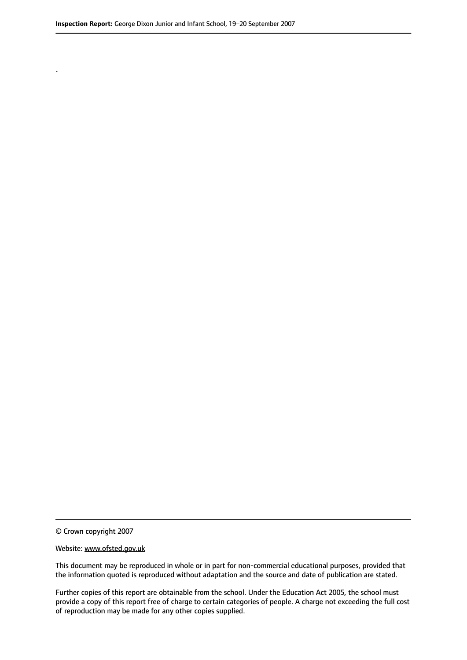.

© Crown copyright 2007

#### Website: www.ofsted.gov.uk

This document may be reproduced in whole or in part for non-commercial educational purposes, provided that the information quoted is reproduced without adaptation and the source and date of publication are stated.

Further copies of this report are obtainable from the school. Under the Education Act 2005, the school must provide a copy of this report free of charge to certain categories of people. A charge not exceeding the full cost of reproduction may be made for any other copies supplied.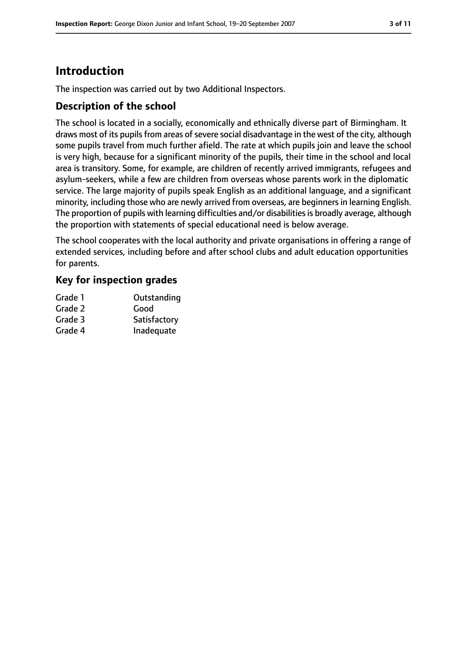# **Introduction**

The inspection was carried out by two Additional Inspectors.

## **Description of the school**

The school is located in a socially, economically and ethnically diverse part of Birmingham. It draws most of its pupils from areas of severe social disadvantage in the west of the city, although some pupils travel from much further afield. The rate at which pupils join and leave the school is very high, because for a significant minority of the pupils, their time in the school and local area is transitory. Some, for example, are children of recently arrived immigrants, refugees and asylum-seekers, while a few are children from overseas whose parents work in the diplomatic service. The large majority of pupils speak English as an additional language, and a significant minority, including those who are newly arrived from overseas, are beginners in learning English. The proportion of pupils with learning difficulties and/or disabilities is broadly average, although the proportion with statements of special educational need is below average.

The school cooperates with the local authority and private organisations in offering a range of extended services, including before and after school clubs and adult education opportunities for parents.

## **Key for inspection grades**

| Outstanding  |
|--------------|
| Good         |
| Satisfactory |
| Inadequate   |
|              |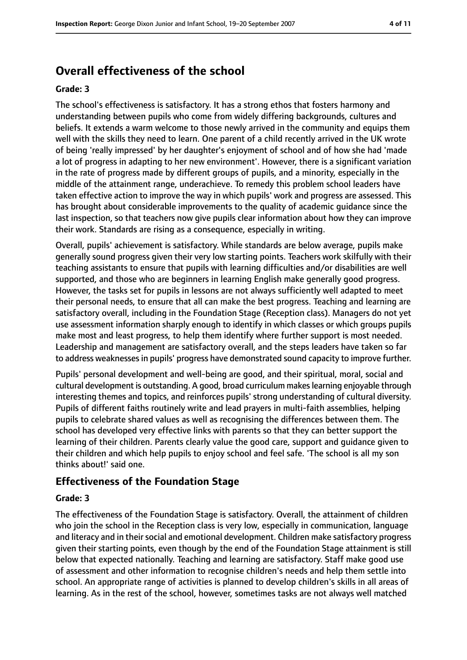# **Overall effectiveness of the school**

#### **Grade: 3**

The school's effectiveness is satisfactory. It has a strong ethos that fosters harmony and understanding between pupils who come from widely differing backgrounds, cultures and beliefs. It extends a warm welcome to those newly arrived in the community and equips them well with the skills they need to learn. One parent of a child recently arrived in the UK wrote of being 'really impressed' by her daughter's enjoyment of school and of how she had 'made a lot of progress in adapting to her new environment'. However, there is a significant variation in the rate of progress made by different groups of pupils, and a minority, especially in the middle of the attainment range, underachieve. To remedy this problem school leaders have taken effective action to improve the way in which pupils' work and progress are assessed. This has brought about considerable improvements to the quality of academic guidance since the last inspection, so that teachers now give pupils clear information about how they can improve their work. Standards are rising as a consequence, especially in writing.

Overall, pupils' achievement is satisfactory. While standards are below average, pupils make generally sound progress given their very low starting points. Teachers work skilfully with their teaching assistants to ensure that pupils with learning difficulties and/or disabilities are well supported, and those who are beginners in learning English make generally good progress. However, the tasks set for pupils in lessons are not always sufficiently well adapted to meet their personal needs, to ensure that all can make the best progress. Teaching and learning are satisfactory overall, including in the Foundation Stage (Reception class). Managers do not yet use assessment information sharply enough to identify in which classes or which groups pupils make most and least progress, to help them identify where further support is most needed. Leadership and management are satisfactory overall, and the steps leaders have taken so far to address weaknessesin pupils' progress have demonstrated sound capacity to improve further.

Pupils' personal development and well-being are good, and their spiritual, moral, social and cultural development is outstanding. A good, broad curriculum makeslearning enjoyable through interesting themes and topics, and reinforces pupils' strong understanding of cultural diversity. Pupils of different faiths routinely write and lead prayers in multi-faith assemblies, helping pupils to celebrate shared values as well as recognising the differences between them. The school has developed very effective links with parents so that they can better support the learning of their children. Parents clearly value the good care, support and guidance given to their children and which help pupils to enjoy school and feel safe. 'The school is all my son thinks about!' said one.

#### **Effectiveness of the Foundation Stage**

#### **Grade: 3**

The effectiveness of the Foundation Stage is satisfactory. Overall, the attainment of children who join the school in the Reception class is very low, especially in communication, language and literacy and in their social and emotional development. Children make satisfactory progress given their starting points, even though by the end of the Foundation Stage attainment is still below that expected nationally. Teaching and learning are satisfactory. Staff make good use of assessment and other information to recognise children's needs and help them settle into school. An appropriate range of activities is planned to develop children's skills in all areas of learning. As in the rest of the school, however, sometimes tasks are not always well matched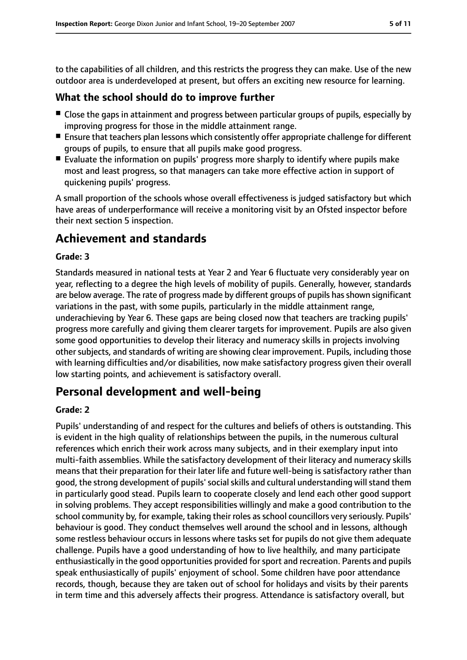to the capabilities of all children, and this restricts the progress they can make. Use of the new outdoor area is underdeveloped at present, but offers an exciting new resource for learning.

## **What the school should do to improve further**

- Close the gaps in attainment and progress between particular groups of pupils, especially by improving progress for those in the middle attainment range.
- Ensure that teachers plan lessons which consistently offer appropriate challenge for different groups of pupils, to ensure that all pupils make good progress.
- Evaluate the information on pupils' progress more sharply to identify where pupils make most and least progress, so that managers can take more effective action in support of quickening pupils' progress.

A small proportion of the schools whose overall effectiveness is judged satisfactory but which have areas of underperformance will receive a monitoring visit by an Ofsted inspector before their next section 5 inspection.

# **Achievement and standards**

#### **Grade: 3**

Standards measured in national tests at Year 2 and Year 6 fluctuate very considerably year on year, reflecting to a degree the high levels of mobility of pupils. Generally, however, standards are below average. The rate of progress made by different groups of pupils has shown significant variations in the past, with some pupils, particularly in the middle attainment range, underachieving by Year 6. These gaps are being closed now that teachers are tracking pupils' progress more carefully and giving them clearer targets for improvement. Pupils are also given some good opportunities to develop their literacy and numeracy skills in projects involving other subjects, and standards of writing are showing clear improvement. Pupils, including those with learning difficulties and/or disabilities, now make satisfactory progress given their overall low starting points, and achievement is satisfactory overall.

## **Personal development and well-being**

#### **Grade: 2**

Pupils' understanding of and respect for the cultures and beliefs of others is outstanding. This is evident in the high quality of relationships between the pupils, in the numerous cultural references which enrich their work across many subjects, and in their exemplary input into multi-faith assemblies. While the satisfactory development of their literacy and numeracy skills means that their preparation for their later life and future well-being is satisfactory rather than good, the strong development of pupils' social skills and cultural understanding will stand them in particularly good stead. Pupils learn to cooperate closely and lend each other good support in solving problems. They accept responsibilities willingly and make a good contribution to the school community by, for example, taking their roles as school councillors very seriously. Pupils' behaviour is good. They conduct themselves well around the school and in lessons, although some restless behaviour occurs in lessons where tasks set for pupils do not give them adequate challenge. Pupils have a good understanding of how to live healthily, and many participate enthusiastically in the good opportunities provided for sport and recreation. Parents and pupils speak enthusiastically of pupils' enjoyment of school. Some children have poor attendance records, though, because they are taken out of school for holidays and visits by their parents in term time and this adversely affects their progress. Attendance is satisfactory overall, but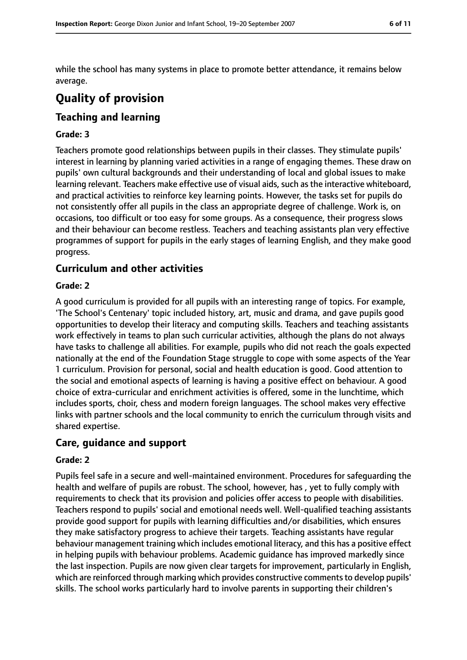while the school has many systems in place to promote better attendance, it remains below average.

# **Quality of provision**

## **Teaching and learning**

#### **Grade: 3**

Teachers promote good relationships between pupils in their classes. They stimulate pupils' interest in learning by planning varied activities in a range of engaging themes. These draw on pupils' own cultural backgrounds and their understanding of local and global issues to make learning relevant. Teachers make effective use of visual aids, such as the interactive whiteboard, and practical activities to reinforce key learning points. However, the tasks set for pupils do not consistently offer all pupils in the class an appropriate degree of challenge. Work is, on occasions, too difficult or too easy for some groups. As a consequence, their progress slows and their behaviour can become restless. Teachers and teaching assistants plan very effective programmes of support for pupils in the early stages of learning English, and they make good progress.

## **Curriculum and other activities**

#### **Grade: 2**

A good curriculum is provided for all pupils with an interesting range of topics. For example, 'The School's Centenary' topic included history, art, music and drama, and gave pupils good opportunities to develop their literacy and computing skills. Teachers and teaching assistants work effectively in teams to plan such curricular activities, although the plans do not always have tasks to challenge all abilities. For example, pupils who did not reach the goals expected nationally at the end of the Foundation Stage struggle to cope with some aspects of the Year 1 curriculum. Provision for personal, social and health education is good. Good attention to the social and emotional aspects of learning is having a positive effect on behaviour. A good choice of extra-curricular and enrichment activities is offered, some in the lunchtime, which includes sports, choir, chess and modern foreign languages. The school makes very effective links with partner schools and the local community to enrich the curriculum through visits and shared expertise.

#### **Care, guidance and support**

#### **Grade: 2**

Pupils feel safe in a secure and well-maintained environment. Procedures for safeguarding the health and welfare of pupils are robust. The school, however, has , yet to fully comply with requirements to check that its provision and policies offer access to people with disabilities. Teachers respond to pupils' social and emotional needs well. Well-qualified teaching assistants provide good support for pupils with learning difficulties and/or disabilities, which ensures they make satisfactory progress to achieve their targets. Teaching assistants have regular behaviour management training which includes emotional literacy, and this has a positive effect in helping pupils with behaviour problems. Academic guidance has improved markedly since the last inspection. Pupils are now given clear targets for improvement, particularly in English, which are reinforced through marking which provides constructive comments to develop pupils' skills. The school works particularly hard to involve parents in supporting their children's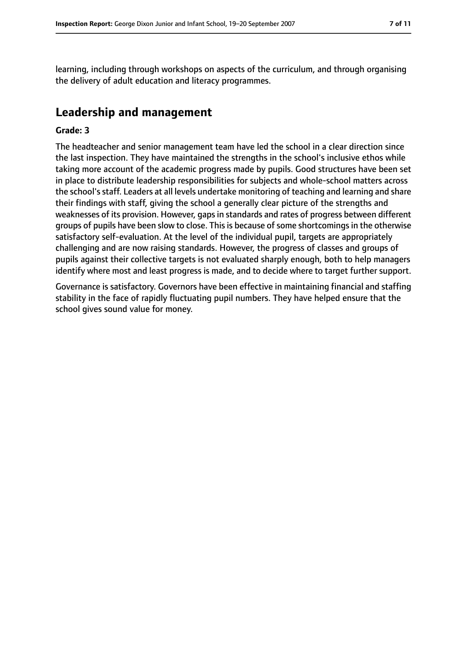learning, including through workshops on aspects of the curriculum, and through organising the delivery of adult education and literacy programmes.

## **Leadership and management**

#### **Grade: 3**

The headteacher and senior management team have led the school in a clear direction since the last inspection. They have maintained the strengths in the school's inclusive ethos while taking more account of the academic progress made by pupils. Good structures have been set in place to distribute leadership responsibilities for subjects and whole-school matters across the school'sstaff. Leaders at all levels undertake monitoring of teaching and learning and share their findings with staff, giving the school a generally clear picture of the strengths and weaknesses of its provision. However, gaps in standards and rates of progress between different groups of pupils have been slow to close. This is because of some shortcomings in the otherwise satisfactory self-evaluation. At the level of the individual pupil, targets are appropriately challenging and are now raising standards. However, the progress of classes and groups of pupils against their collective targets is not evaluated sharply enough, both to help managers identify where most and least progress is made, and to decide where to target further support.

Governance is satisfactory. Governors have been effective in maintaining financial and staffing stability in the face of rapidly fluctuating pupil numbers. They have helped ensure that the school gives sound value for money.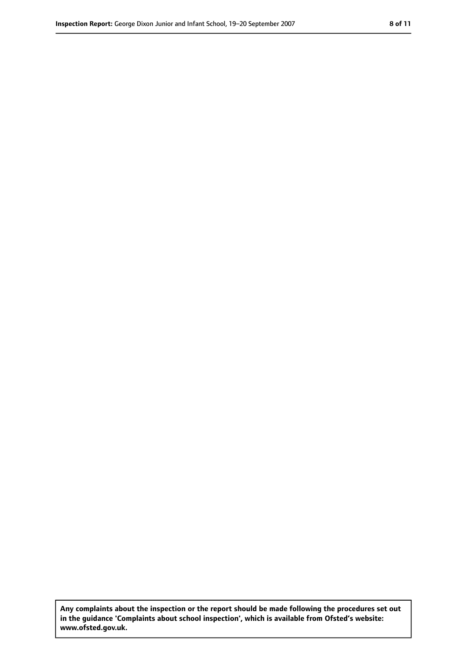**Any complaints about the inspection or the report should be made following the procedures set out in the guidance 'Complaints about school inspection', which is available from Ofsted's website: www.ofsted.gov.uk.**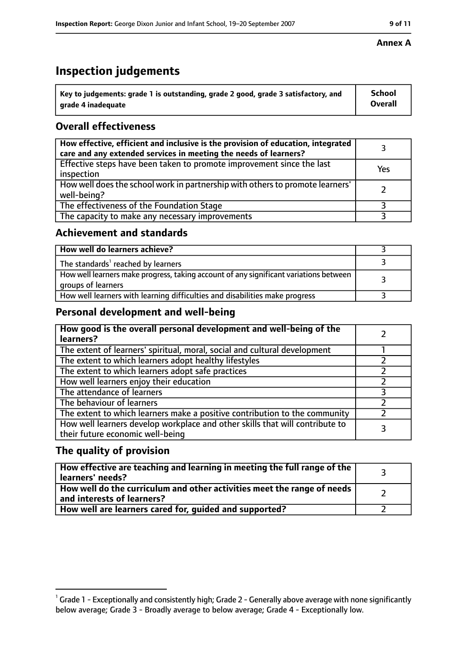# **Inspection judgements**

| $^{\backprime}$ Key to judgements: grade 1 is outstanding, grade 2 good, grade 3 satisfactory, and | <b>School</b>  |
|----------------------------------------------------------------------------------------------------|----------------|
| arade 4 inadeguate                                                                                 | <b>Overall</b> |

## **Overall effectiveness**

| How effective, efficient and inclusive is the provision of education, integrated<br>care and any extended services in meeting the needs of learners? |     |
|------------------------------------------------------------------------------------------------------------------------------------------------------|-----|
| Effective steps have been taken to promote improvement since the last<br>inspection                                                                  | Yes |
| How well does the school work in partnership with others to promote learners'<br>well-being?                                                         |     |
| The effectiveness of the Foundation Stage                                                                                                            |     |
| The capacity to make any necessary improvements                                                                                                      |     |

#### **Achievement and standards**

| How well do learners achieve?                                                                               |  |
|-------------------------------------------------------------------------------------------------------------|--|
| The standards <sup>1</sup> reached by learners                                                              |  |
| How well learners make progress, taking account of any significant variations between<br>groups of learners |  |
| How well learners with learning difficulties and disabilities make progress                                 |  |

## **Personal development and well-being**

| How good is the overall personal development and well-being of the<br>learners?                                  |  |
|------------------------------------------------------------------------------------------------------------------|--|
| The extent of learners' spiritual, moral, social and cultural development                                        |  |
| The extent to which learners adopt healthy lifestyles                                                            |  |
| The extent to which learners adopt safe practices                                                                |  |
| How well learners enjoy their education                                                                          |  |
| The attendance of learners                                                                                       |  |
| The behaviour of learners                                                                                        |  |
| The extent to which learners make a positive contribution to the community                                       |  |
| How well learners develop workplace and other skills that will contribute to<br>their future economic well-being |  |

## **The quality of provision**

| How effective are teaching and learning in meeting the full range of the<br>learners' needs?          |  |
|-------------------------------------------------------------------------------------------------------|--|
| How well do the curriculum and other activities meet the range of needs<br>and interests of learners? |  |
| How well are learners cared for, guided and supported?                                                |  |

#### **Annex A**

 $^1$  Grade 1 - Exceptionally and consistently high; Grade 2 - Generally above average with none significantly below average; Grade 3 - Broadly average to below average; Grade 4 - Exceptionally low.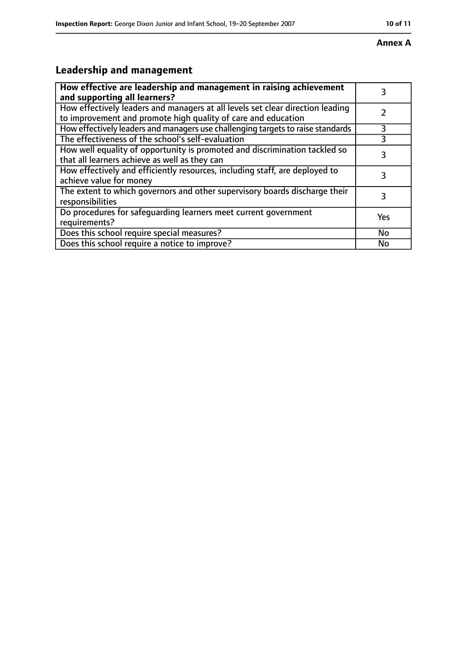#### **Annex A**

# **Leadership and management**

| How effective are leadership and management in raising achievement<br>and supporting all learners?                                              | 3         |
|-------------------------------------------------------------------------------------------------------------------------------------------------|-----------|
| How effectively leaders and managers at all levels set clear direction leading<br>to improvement and promote high quality of care and education |           |
| How effectively leaders and managers use challenging targets to raise standards                                                                 | 3         |
| The effectiveness of the school's self-evaluation                                                                                               |           |
| How well equality of opportunity is promoted and discrimination tackled so<br>that all learners achieve as well as they can                     | 3         |
| How effectively and efficiently resources, including staff, are deployed to<br>achieve value for money                                          | 3         |
| The extent to which governors and other supervisory boards discharge their<br>responsibilities                                                  | 3         |
| Do procedures for safequarding learners meet current government<br>requirements?                                                                | Yes       |
| Does this school require special measures?                                                                                                      | <b>No</b> |
| Does this school require a notice to improve?                                                                                                   | No        |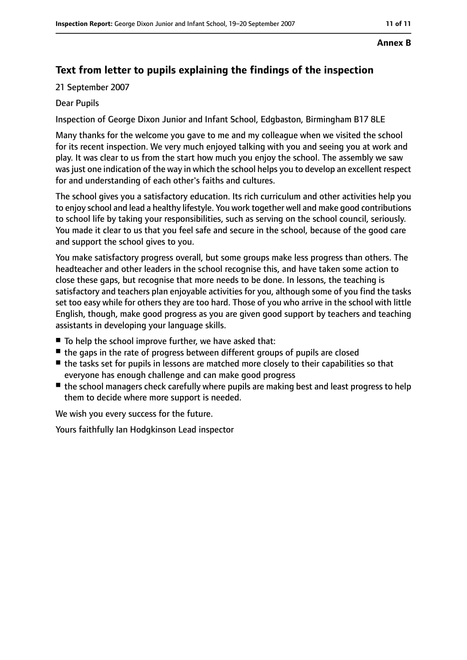#### **Annex B**

## **Text from letter to pupils explaining the findings of the inspection**

21 September 2007

#### Dear Pupils

Inspection of George Dixon Junior and Infant School, Edgbaston, Birmingham B17 8LE

Many thanks for the welcome you gave to me and my colleague when we visited the school for its recent inspection. We very much enjoyed talking with you and seeing you at work and play. It was clear to us from the start how much you enjoy the school. The assembly we saw was just one indication of the way in which the school helps you to develop an excellent respect for and understanding of each other's faiths and cultures.

The school gives you a satisfactory education. Its rich curriculum and other activities help you to enjoy school and lead a healthy lifestyle. You work together well and make good contributions to school life by taking your responsibilities, such as serving on the school council, seriously. You made it clear to us that you feel safe and secure in the school, because of the good care and support the school gives to you.

You make satisfactory progress overall, but some groups make less progress than others. The headteacher and other leaders in the school recognise this, and have taken some action to close these gaps, but recognise that more needs to be done. In lessons, the teaching is satisfactory and teachers plan enjoyable activities for you, although some of you find the tasks set too easy while for others they are too hard. Those of you who arrive in the school with little English, though, make good progress as you are given good support by teachers and teaching assistants in developing your language skills.

- To help the school improve further, we have asked that:
- the gaps in the rate of progress between different groups of pupils are closed
- the tasks set for pupils in lessons are matched more closely to their capabilities so that everyone has enough challenge and can make good progress
- the school managers check carefully where pupils are making best and least progress to help them to decide where more support is needed.

We wish you every success for the future.

Yours faithfully Ian Hodgkinson Lead inspector